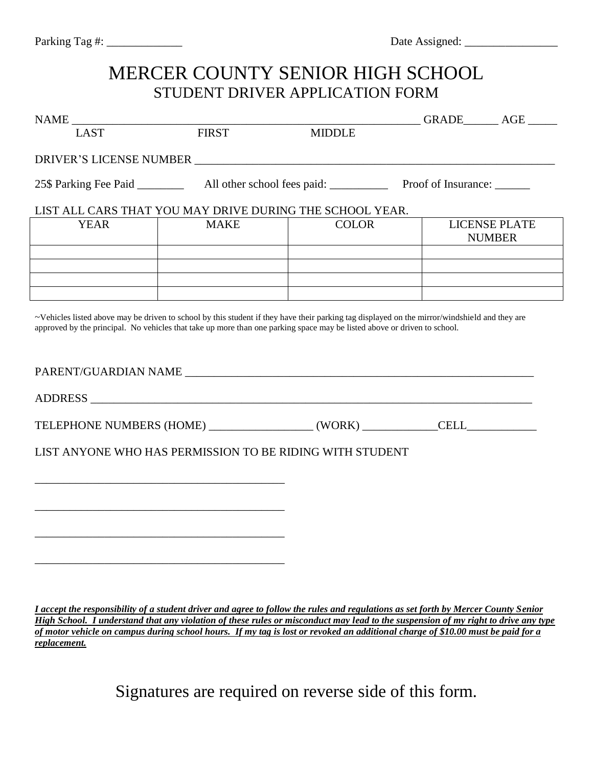## MERCER COUNTY SENIOR HIGH SCHOOL STUDENT DRIVER APPLICATION FORM

| NAME NAME                                                                                                                |              |               | GRADE ________ AGE _______                                                                                                                          |  |  |
|--------------------------------------------------------------------------------------------------------------------------|--------------|---------------|-----------------------------------------------------------------------------------------------------------------------------------------------------|--|--|
| <b>LAST</b>                                                                                                              | <b>FIRST</b> | <b>MIDDLE</b> |                                                                                                                                                     |  |  |
| DRIVER'S LICENSE NUMBER                                                                                                  |              |               |                                                                                                                                                     |  |  |
|                                                                                                                          |              |               |                                                                                                                                                     |  |  |
| LIST ALL CARS THAT YOU MAY DRIVE DURING THE SCHOOL YEAR.                                                                 |              |               |                                                                                                                                                     |  |  |
| <b>YEAR</b>                                                                                                              | <b>MAKE</b>  | <b>COLOR</b>  | <b>LICENSE PLATE</b><br><b>NUMBER</b>                                                                                                               |  |  |
|                                                                                                                          |              |               |                                                                                                                                                     |  |  |
| approved by the principal. No vehicles that take up more than one parking space may be listed above or driven to school. |              |               | $\sim$ Vehicles listed above may be driven to school by this student if they have their parking tag displayed on the mirror/windshield and they are |  |  |
|                                                                                                                          |              |               |                                                                                                                                                     |  |  |
|                                                                                                                          |              |               |                                                                                                                                                     |  |  |
| TELEPHONE NUMBERS (HOME) _________________(WORK) ___________CELL________________                                         |              |               |                                                                                                                                                     |  |  |
| LIST ANYONE WHO HAS PERMISSION TO BE RIDING WITH STUDENT                                                                 |              |               |                                                                                                                                                     |  |  |
|                                                                                                                          |              |               |                                                                                                                                                     |  |  |
|                                                                                                                          |              |               |                                                                                                                                                     |  |  |
|                                                                                                                          |              |               |                                                                                                                                                     |  |  |
|                                                                                                                          |              |               |                                                                                                                                                     |  |  |
|                                                                                                                          |              |               |                                                                                                                                                     |  |  |
|                                                                                                                          |              |               |                                                                                                                                                     |  |  |
|                                                                                                                          |              |               |                                                                                                                                                     |  |  |

*I accept the responsibility of a student driver and agree to follow the rules and regulations as set forth by Mercer County Senior High School. I understand that any violation of these rules or misconduct may lead to the suspension of my right to drive any type of motor vehicle on campus during school hours. If my tag is lost or revoked an additional charge of \$10.00 must be paid for a replacement.*

Signatures are required on reverse side of this form.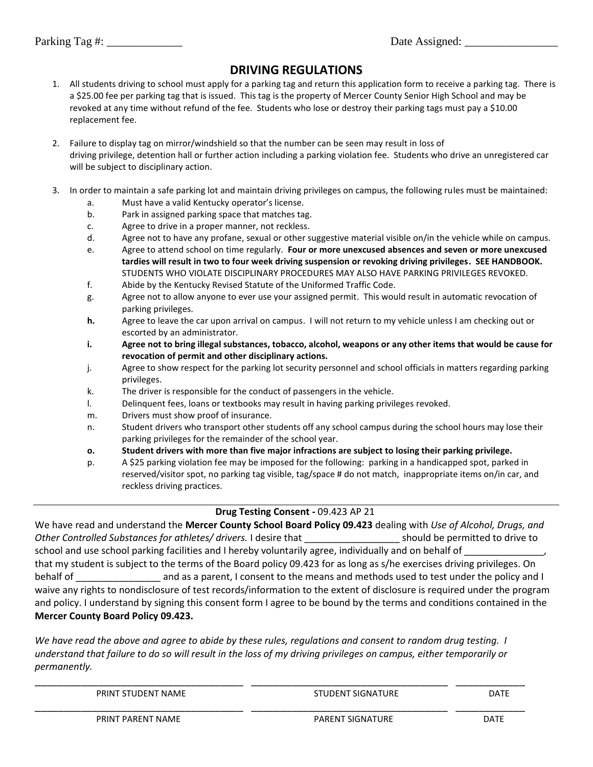## **DRIVING REGULATIONS**

1. All students driving to school must apply for a parking tag and return this application form to receive a parking tag. There is a \$25.00 fee per parking tag that is issued. This tag is the property of Mercer County Senior High School and may be revoked at any time without refund of the fee. Students who lose or destroy their parking tags must pay a \$10.00 replacement fee.

2. Failure to display tag on mirror/windshield so that the number can be seen may result in loss of driving privilege, detention hall or further action including a parking violation fee. Students who drive an unregistered car will be subject to disciplinary action.

- 3. In order to maintain a safe parking lot and maintain driving privileges on campus, the following rules must be maintained:
	- a. Must have a valid Kentucky operator's license.
	- b. Park in assigned parking space that matches tag.
	- c. Agree to drive in a proper manner, not reckless.
	- d. Agree not to have any profane, sexual or other suggestive material visible on/in the vehicle while on campus.
	- e. Agree to attend school on time regularly. **Four or more unexcused absences and seven or more unexcused tardies will result in two to four week driving suspension or revoking driving privileges. SEE HANDBOOK.**  STUDENTS WHO VIOLATE DISCIPLINARY PROCEDURES MAY ALSO HAVE PARKING PRIVILEGES REVOKED.
	- f. Abide by the Kentucky Revised Statute of the Uniformed Traffic Code.
	- g. Agree not to allow anyone to ever use your assigned permit. This would result in automatic revocation of parking privileges.
	- **h.** Agree to leave the car upon arrival on campus. I will not return to my vehicle unless I am checking out or escorted by an administrator.
	- **i. Agree not to bring illegal substances, tobacco, alcohol, weapons or any other items that would be cause for revocation of permit and other disciplinary actions.**
	- j. Agree to show respect for the parking lot security personnel and school officials in matters regarding parking privileges.
	- k. The driver is responsible for the conduct of passengers in the vehicle.
	- l. Delinquent fees, loans or textbooks may result in having parking privileges revoked.
	- m. Drivers must show proof of insurance.
	- n. Student drivers who transport other students off any school campus during the school hours may lose their parking privileges for the remainder of the school year.
	- **o. Student drivers with more than five major infractions are subject to losing their parking privilege.**
	- p. A \$25 parking violation fee may be imposed for the following: parking in a handicapped spot, parked in reserved/visitor spot, no parking tag visible, tag/space # do not match, inappropriate items on/in car, and reckless driving practices.

## **Drug Testing Consent -** 09.423 AP 21

We have read and understand the **Mercer County School Board Policy 09.423** dealing with *Use of Alcohol, Drugs, and Other Controlled Substances for athletes/ drivers.* I desire that *\_\_\_\_\_\_\_\_\_\_\_\_\_\_\_\_\_\_\_\_* should be permitted to drive to school and use school parking facilities and I hereby voluntarily agree, individually and on behalf of that my student is subject to the terms of the Board policy 09.423 for as long as s/he exercises driving privileges. On behalf of all and as a parent, I consent to the means and methods used to test under the policy and I waive any rights to nondisclosure of test records/information to the extent of disclosure is required under the program and policy. I understand by signing this consent form I agree to be bound by the terms and conditions contained in the **Mercer County Board Policy 09.423.**

*We have read the above and agree to abide by these rules, regulations and consent to random drug testing. I understand that failure to do so will result in the loss of my driving privileges on campus, either temporarily or permanently.*

| PRINT STUDENT NAME | STUDENT SIGNATURE       | <b>DATE</b> |
|--------------------|-------------------------|-------------|
| PRINT PARENT NAME  | <b>PARENT SIGNATURE</b> | <b>DATE</b> |